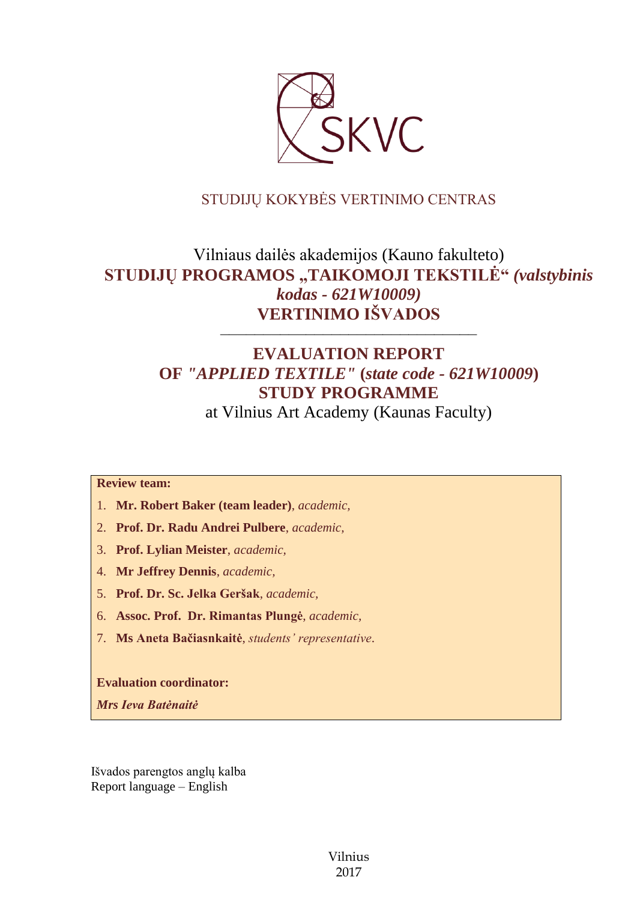

## STUDIJŲ KOKYBĖS VERTINIMO CENTRAS

# Vilniaus dailės akademijos (Kauno fakulteto) **STUDIJŲ PROGRAMOS "TAIKOMOJI TEKSTILĖ"** *(valstybinis kodas - 621W10009)* **VERTINIMO IŠVADOS**

# **EVALUATION REPORT OF** *"APPLIED TEXTILE"* **(***state code - 621W10009***) STUDY PROGRAMME**

––––––––––––––––––––––––––––––

at Vilnius Art Academy (Kaunas Faculty)

#### **Review team:**

- 1. **Mr. Robert Baker (team leader)**, *academic,*
- 2. **Prof. Dr. Radu Andrei Pulbere**, *academic,*
- 3. **Prof. Lylian Meister**, *academic,*
- 4. **Mr Jeffrey Dennis**, *academic,*
- 5. **Prof. Dr. Sc. Jelka Geršak**, *academic,*
- 6. **Assoc. Prof. Dr. Rimantas Plungė**, *academic,*
- 7. **Ms Aneta Bačiasnkaitė**, *students' representative*.

**Evaluation coordinator:**

*Mrs Ieva Batėnaitė*

Išvados parengtos anglų kalba Report language – English

> Vilnius 2017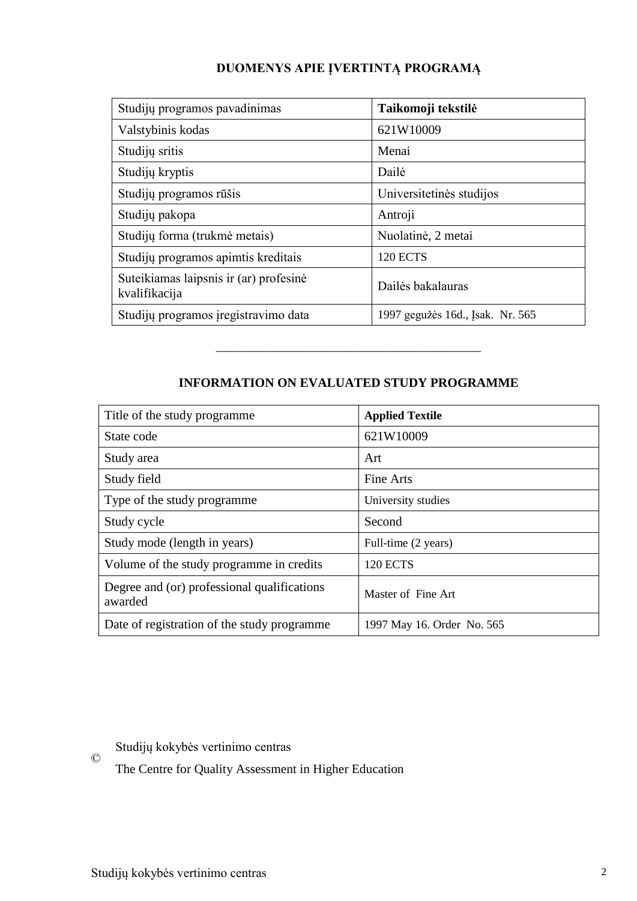| Studijų programos pavadinimas                           | Taikomoji tekstilė               |
|---------------------------------------------------------|----------------------------------|
| Valstybinis kodas                                       | 621W10009                        |
| Studijų sritis                                          | Menai                            |
| Studijų kryptis                                         | Dailė                            |
| Studijų programos rūšis                                 | Universitetinės studijos         |
| Studijų pakopa                                          | Antroji                          |
| Studijų forma (trukmė metais)                           | Nuolatinė, 2 metai               |
| Studijų programos apimtis kreditais                     | <b>120 ECTS</b>                  |
| Suteikiamas laipsnis ir (ar) profesinė<br>kvalifikacija | Dailės bakalauras                |
| Studijų programos įregistravimo data                    | 1997 gegužės 16d., Įsak. Nr. 565 |

## **DUOMENYS APIE ĮVERTINTĄ PROGRAMĄ**

### **INFORMATION ON EVALUATED STUDY PROGRAMME**

–––––––––––––––––––––––––––––––

| Title of the study programme.                          | <b>Applied Textile</b>     |
|--------------------------------------------------------|----------------------------|
| State code                                             | 621W10009                  |
| Study area                                             | Art                        |
| Study field                                            | Fine Arts                  |
| Type of the study programme                            | University studies         |
| Study cycle                                            | Second                     |
| Study mode (length in years)                           | Full-time (2 years)        |
| Volume of the study programme in credits               | <b>120 ECTS</b>            |
| Degree and (or) professional qualifications<br>awarded | Master of Fine Art         |
| Date of registration of the study programme            | 1997 May 16. Order No. 565 |

Studijų kokybės vertinimo centras

©

The Centre for Quality Assessment in Higher Education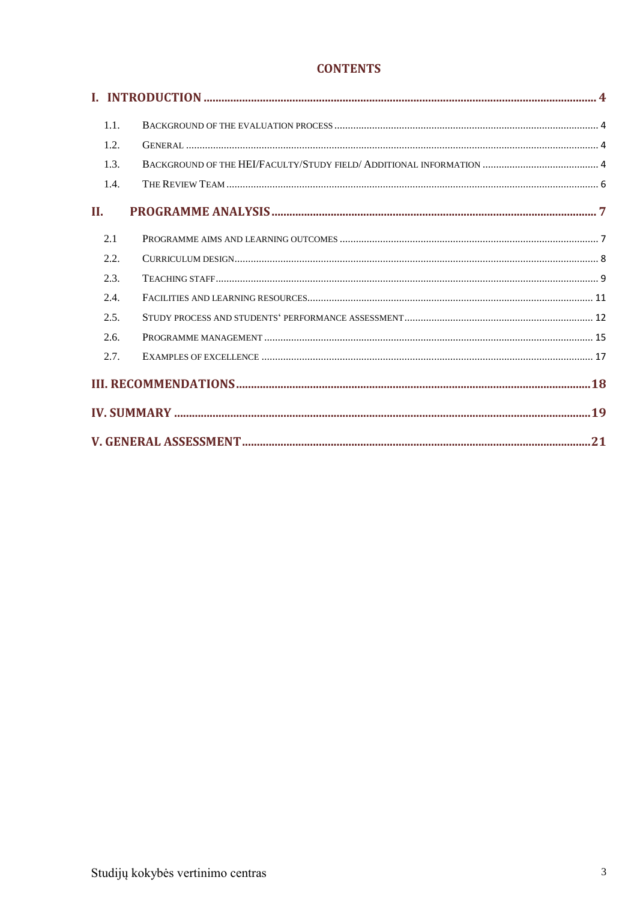## **CONTENTS**

| 1.1. |  |  |
|------|--|--|
| 1.2. |  |  |
| 1.3. |  |  |
| 1.4. |  |  |
| П.   |  |  |
| 2.1  |  |  |
| 2.2. |  |  |
| 2.3. |  |  |
| 2.4. |  |  |
| 2.5. |  |  |
| 2.6. |  |  |
| 2.7. |  |  |
|      |  |  |
|      |  |  |
|      |  |  |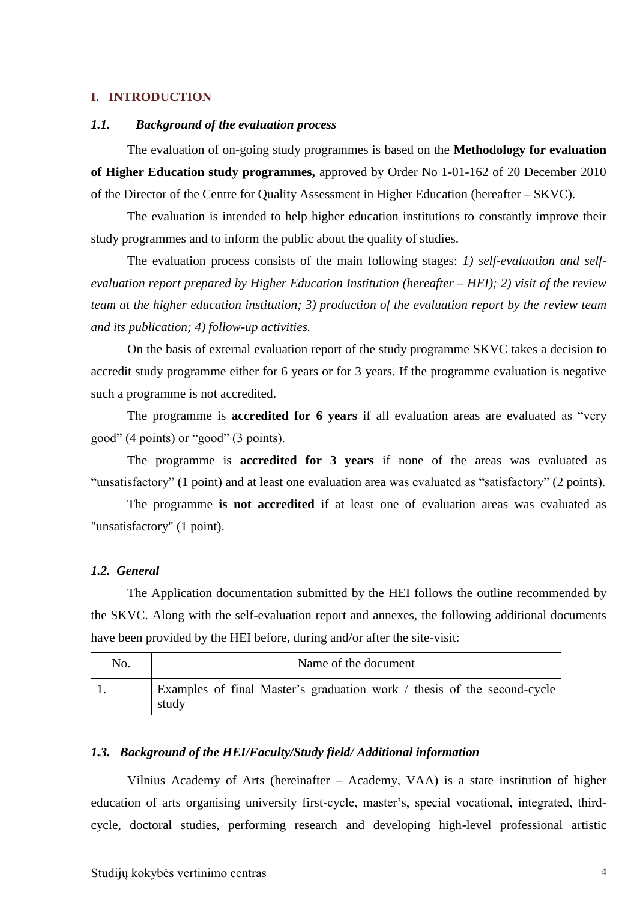#### <span id="page-3-1"></span><span id="page-3-0"></span>**I. INTRODUCTION**

#### *1.1. Background of the evaluation process*

The evaluation of on-going study programmes is based on the **Methodology for evaluation of Higher Education study programmes,** approved by Order No 1-01-162 of 20 December 2010 of the Director of the Centre for Quality Assessment in Higher Education (hereafter – SKVC).

The evaluation is intended to help higher education institutions to constantly improve their study programmes and to inform the public about the quality of studies.

The evaluation process consists of the main following stages: *1) self-evaluation and selfevaluation report prepared by Higher Education Institution (hereafter – HEI); 2) visit of the review team at the higher education institution; 3) production of the evaluation report by the review team and its publication; 4) follow-up activities.* 

On the basis of external evaluation report of the study programme SKVC takes a decision to accredit study programme either for 6 years or for 3 years. If the programme evaluation is negative such a programme is not accredited.

The programme is **accredited for 6 years** if all evaluation areas are evaluated as "very good" (4 points) or "good" (3 points).

The programme is **accredited for 3 years** if none of the areas was evaluated as "unsatisfactory" (1 point) and at least one evaluation area was evaluated as "satisfactory" (2 points).

The programme **is not accredited** if at least one of evaluation areas was evaluated as "unsatisfactory" (1 point).

#### <span id="page-3-2"></span>*1.2. General*

The Application documentation submitted by the HEI follows the outline recommended by the SKVC. Along with the self-evaluation report and annexes, the following additional documents have been provided by the HEI before, during and/or after the site-visit:

| No. | Name of the document                                                             |
|-----|----------------------------------------------------------------------------------|
|     | Examples of final Master's graduation work / thesis of the second-cycle<br>study |

#### <span id="page-3-3"></span>*1.3. Background of the HEI/Faculty/Study field/ Additional information*

Vilnius Academy of Arts (hereinafter – Academy, VAA) is a state institution of higher education of arts organising university first-cycle, master's, special vocational, integrated, thirdcycle, doctoral studies, performing research and developing high-level professional artistic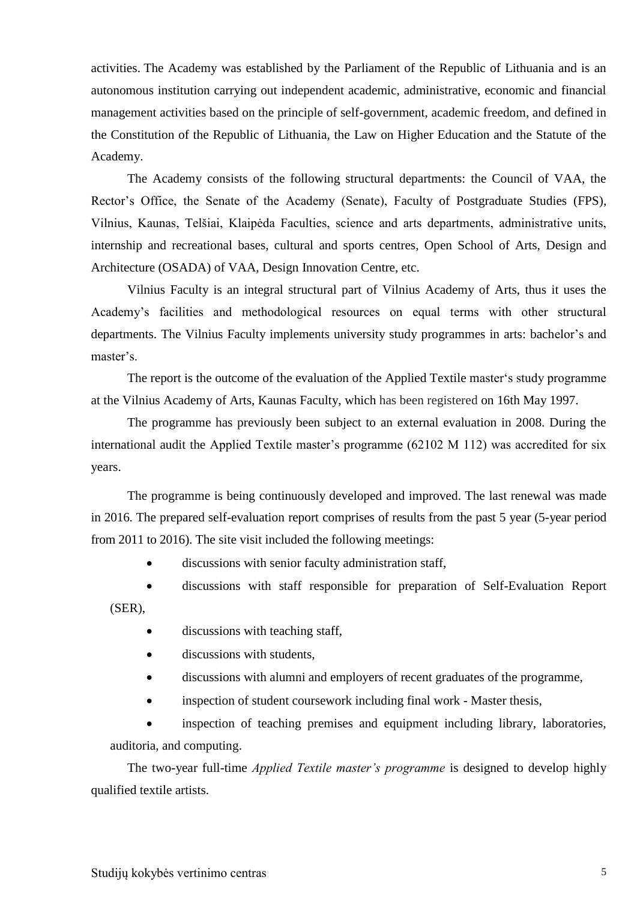activities. The Academy was established by the Parliament of the Republic of Lithuania and is an autonomous institution carrying out independent academic, administrative, economic and financial management activities based on the principle of self-government, academic freedom, and defined in the Constitution of the Republic of Lithuania, the Law on Higher Education and the Statute of the Academy.

The Academy consists of the following structural departments: the Council of VAA, the Rector's Office, the Senate of the Academy (Senate), Faculty of Postgraduate Studies (FPS), Vilnius, Kaunas, Telšiai, Klaipėda Faculties, science and arts departments, administrative units, internship and recreational bases, cultural and sports centres, Open School of Arts, Design and Architecture (OSADA) of VAA, Design Innovation Centre, etc.

Vilnius Faculty is an integral structural part of Vilnius Academy of Arts, thus it uses the Academy's facilities and methodological resources on equal terms with other structural departments. The Vilnius Faculty implements university study programmes in arts: bachelor's and master's.

The report is the outcome of the evaluation of the Applied Textile master's study programme at the Vilnius Academy of Arts, Kaunas Faculty, which has been registered on 16th May 1997.

The programme has previously been subject to an external evaluation in 2008. During the international audit the Applied Textile master's programme (62102 M 112) was accredited for six years.

The programme is being continuously developed and improved. The last renewal was made in 2016. The prepared self-evaluation report comprises of results from the past 5 year (5-year period from 2011 to 2016). The site visit included the following meetings:

discussions with senior faculty administration staff,

 discussions with staff responsible for preparation of Self-Evaluation Report (SER),

- discussions with teaching staff,
- discussions with students,
- discussions with alumni and employers of recent graduates of the programme,
- inspection of student coursework including final work Master thesis,

 inspection of teaching premises and equipment including library, laboratories, auditoria, and computing.

The two-year full-time *Applied Textile master's programme* is designed to develop highly qualified textile artists.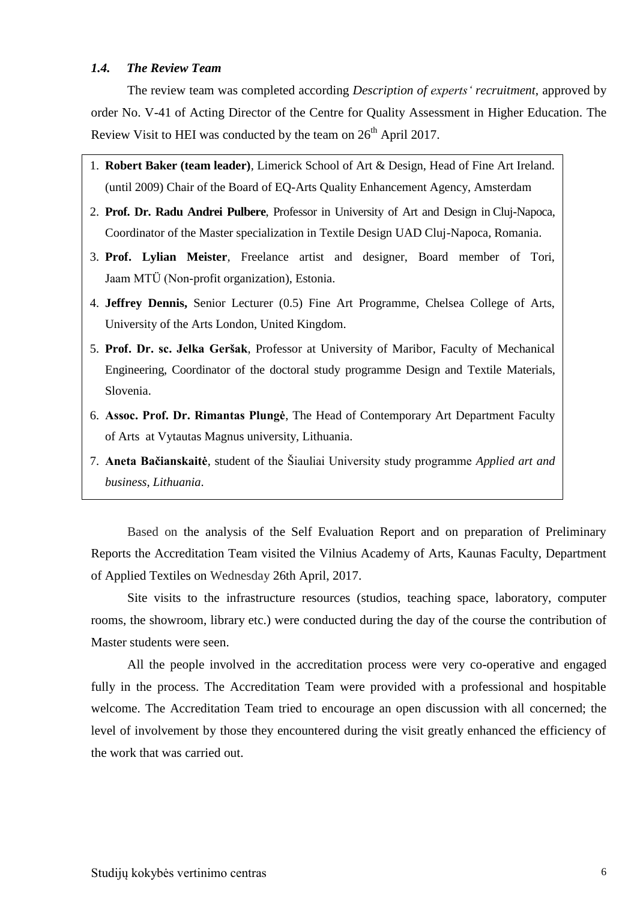#### <span id="page-5-0"></span>*1.4. The Review Team*

The review team was completed according *Description of experts' recruitment*, approved by order No. V-41 of Acting Director of the Centre for Quality Assessment in Higher Education. The Review Visit to HEI was conducted by the team on  $26<sup>th</sup>$  April 2017.

- 1. **Robert Baker (team leader)***,* Limerick School of Art & Design, Head of Fine Art Ireland. (until 2009) Chair of the Board of EQ-Arts Quality Enhancement Agency, Amsterdam
- 2. **Prof. Dr. Radu Andrei Pulbere**, Professor in University of Art and Design in Cluj-Napoca, Coordinator of the Master specialization in Textile Design UAD Cluj-Napoca, Romania.
- 3. **Prof. Lylian Meister***,* Freelance artist and designer, Board member of Tori, Jaam MTÜ (Non-profit organization), Estonia.
- 4. **Jeffrey Dennis,** Senior Lecturer (0.5) Fine Art Programme, Chelsea College of Arts, University of the Arts London, United Kingdom.
- 5. **Prof. Dr. sc. Jelka Geršak**, Professor at University of Maribor, Faculty of Mechanical Engineering, Coordinator of the doctoral study programme Design and Textile Materials, Slovenia.
- 6. **Assoc. Prof. Dr. Rimantas Plungė**, The Head of Contemporary Art Department Faculty of Arts at Vytautas Magnus university, Lithuania.
- 7. **Aneta Bačianskaitė**, student of the Šiauliai University study programme *Applied art and business, Lithuania*.

Based on the analysis of the Self Evaluation Report and on preparation of Preliminary Reports the Accreditation Team visited the Vilnius Academy of Arts, Kaunas Faculty, Department of Applied Textiles on Wednesday 26th April, 2017.

Site visits to the infrastructure resources (studios, teaching space, laboratory, computer rooms, the showroom, library etc.) were conducted during the day of the course the contribution of Master students were seen.

All the people involved in the accreditation process were very co-operative and engaged fully in the process. The Accreditation Team were provided with a professional and hospitable welcome. The Accreditation Team tried to encourage an open discussion with all concerned; the level of involvement by those they encountered during the visit greatly enhanced the efficiency of the work that was carried out.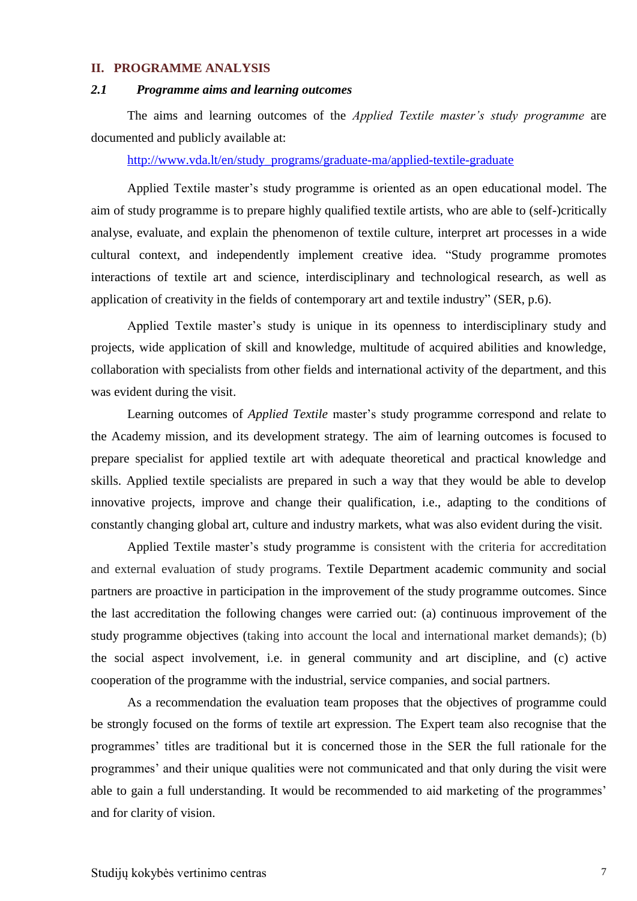#### <span id="page-6-0"></span>**II. PROGRAMME ANALYSIS**

#### <span id="page-6-1"></span>*2.1 Programme aims and learning outcomes*

The aims and learning outcomes of the *Applied Textile master's study programme* are documented and publicly available at:

[http://www.vda.lt/en/study\\_programs/graduate-ma/applied-textile-graduate](http://www.vda.lt/en/study_programs/graduate-ma/applied-textile-graduate)

Applied Textile master's study programme is oriented as an open educational model. The aim of study programme is to prepare highly qualified textile artists, who are able to (self-)critically analyse, evaluate, and explain the phenomenon of textile culture, interpret art processes in a wide cultural context, and independently implement creative idea. "Study programme promotes interactions of textile art and science, interdisciplinary and technological research, as well as application of creativity in the fields of contemporary art and textile industry" (SER, p.6).

Applied Textile master's study is unique in its openness to interdisciplinary study and projects, wide application of skill and knowledge, multitude of acquired abilities and knowledge, collaboration with specialists from other fields and international activity of the department, and this was evident during the visit.

Learning outcomes of *Applied Textile* master's study programme correspond and relate to the Academy mission, and its development strategy. The aim of learning outcomes is focused to prepare specialist for applied textile art with adequate theoretical and practical knowledge and skills. Applied textile specialists are prepared in such a way that they would be able to develop innovative projects, improve and change their qualification, i.e., adapting to the conditions of constantly changing global art, culture and industry markets, what was also evident during the visit.

Applied Textile master's study programme is consistent with the criteria for accreditation and external evaluation of study programs. Textile Department academic community and social partners are proactive in participation in the improvement of the study programme outcomes. Since the last accreditation the following changes were carried out: (a) continuous improvement of the study programme objectives (taking into account the local and international market demands); (b) the social aspect involvement, i.e. in general community and art discipline, and (c) active cooperation of the programme with the industrial, service companies, and social partners.

As a recommendation the evaluation team proposes that the objectives of programme could be strongly focused on the forms of textile art expression. The Expert team also recognise that the programmes' titles are traditional but it is concerned those in the SER the full rationale for the programmes' and their unique qualities were not communicated and that only during the visit were able to gain a full understanding. It would be recommended to aid marketing of the programmes' and for clarity of vision.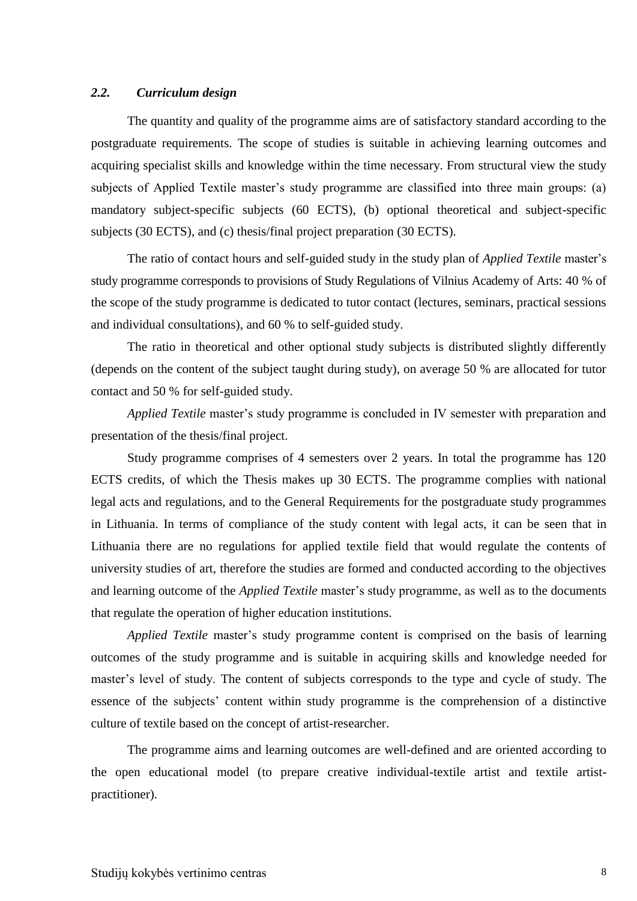#### <span id="page-7-0"></span>*2.2. Curriculum design*

The quantity and quality of the programme aims are of satisfactory standard according to the postgraduate requirements. The scope of studies is suitable in achieving learning outcomes and acquiring specialist skills and knowledge within the time necessary. From structural view the study subjects of Applied Textile master's study programme are classified into three main groups: (a) mandatory subject-specific subjects (60 ECTS), (b) optional theoretical and subject-specific subjects (30 ECTS), and (c) thesis/final project preparation (30 ECTS).

The ratio of contact hours and self-guided study in the study plan of *Applied Textile* master's study programme corresponds to provisions of Study Regulations of Vilnius Academy of Arts: 40 % of the scope of the study programme is dedicated to tutor contact (lectures, seminars, practical sessions and individual consultations), and 60 % to self-guided study.

The ratio in theoretical and other optional study subjects is distributed slightly differently (depends on the content of the subject taught during study), on average 50 % are allocated for tutor contact and 50 % for self-guided study.

*Applied Textile* master's study programme is concluded in IV semester with preparation and presentation of the thesis/final project.

Study programme comprises of 4 semesters over 2 years. In total the programme has 120 ECTS credits, of which the Thesis makes up 30 ECTS. The programme complies with national legal acts and regulations, and to the General Requirements for the postgraduate study programmes in Lithuania. In terms of compliance of the study content with legal acts, it can be seen that in Lithuania there are no regulations for applied textile field that would regulate the contents of university studies of art, therefore the studies are formed and conducted according to the objectives and learning outcome of the *Applied Textile* master's study programme, as well as to the documents that regulate the operation of higher education institutions.

*Applied Textile* master's study programme content is comprised on the basis of learning outcomes of the study programme and is suitable in acquiring skills and knowledge needed for master's level of study. The content of subjects corresponds to the type and cycle of study. The essence of the subjects' content within study programme is the comprehension of a distinctive culture of textile based on the concept of artist-researcher.

The programme aims and learning outcomes are well-defined and are oriented according to the open educational model (to prepare creative individual-textile artist and textile artistpractitioner).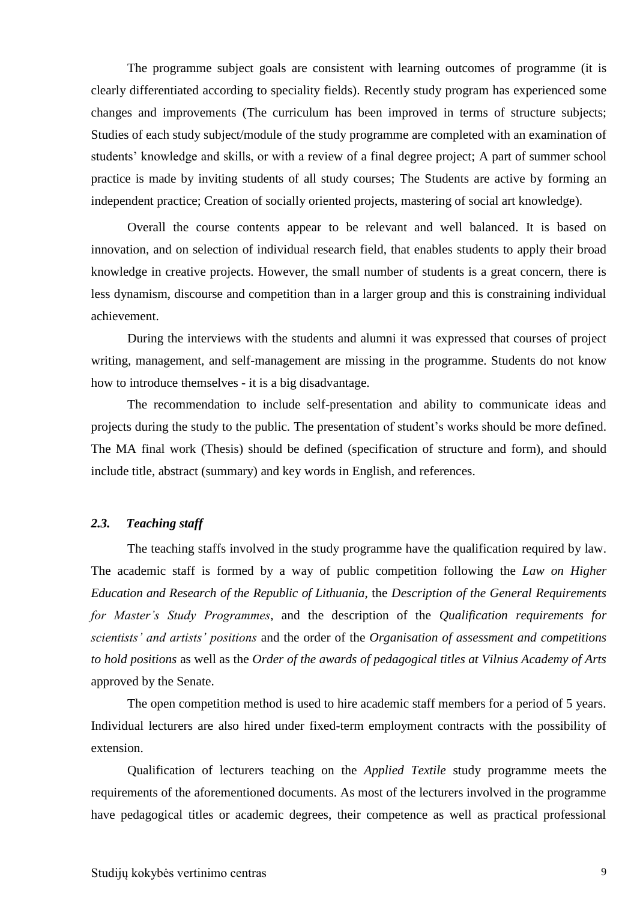The programme subject goals are consistent with learning outcomes of programme (it is clearly differentiated according to speciality fields). Recently study program has experienced some changes and improvements (The curriculum has been improved in terms of structure subjects; Studies of each study subject/module of the study programme are completed with an examination of students' knowledge and skills, or with a review of a final degree project; A part of summer school practice is made by inviting students of all study courses; The Students are active by forming an independent practice; Creation of socially oriented projects, mastering of social art knowledge).

Overall the course contents appear to be relevant and well balanced. It is based on innovation, and on selection of individual research field, that enables students to apply their broad knowledge in creative projects. However, the small number of students is a great concern, there is less dynamism, discourse and competition than in a larger group and this is constraining individual achievement.

During the interviews with the students and alumni it was expressed that courses of project writing, management, and self-management are missing in the programme. Students do not know how to introduce themselves - it is a big disadvantage.

The recommendation to include self-presentation and ability to communicate ideas and projects during the study to the public. The presentation of student's works should be more defined. The MA final work (Thesis) should be defined (specification of structure and form), and should include title, abstract (summary) and key words in English, and references.

#### <span id="page-8-0"></span>*2.3. Teaching staff*

The teaching staffs involved in the study programme have the qualification required by law. The academic staff is formed by a way of public competition following the *Law on Higher Education and Research of the Republic of Lithuania*, the *Description of the General Requirements for Master's Study Programmes*, and the description of the *Qualification requirements for scientists' and artists' positions* and the order of the *Organisation of assessment and competitions to hold positions* as well as the *Order of the awards of pedagogical titles at Vilnius Academy of Arts* approved by the Senate.

The open competition method is used to hire academic staff members for a period of 5 years. Individual lecturers are also hired under fixed-term employment contracts with the possibility of extension.

Qualification of lecturers teaching on the *Applied Textile* study programme meets the requirements of the aforementioned documents. As most of the lecturers involved in the programme have pedagogical titles or academic degrees, their competence as well as practical professional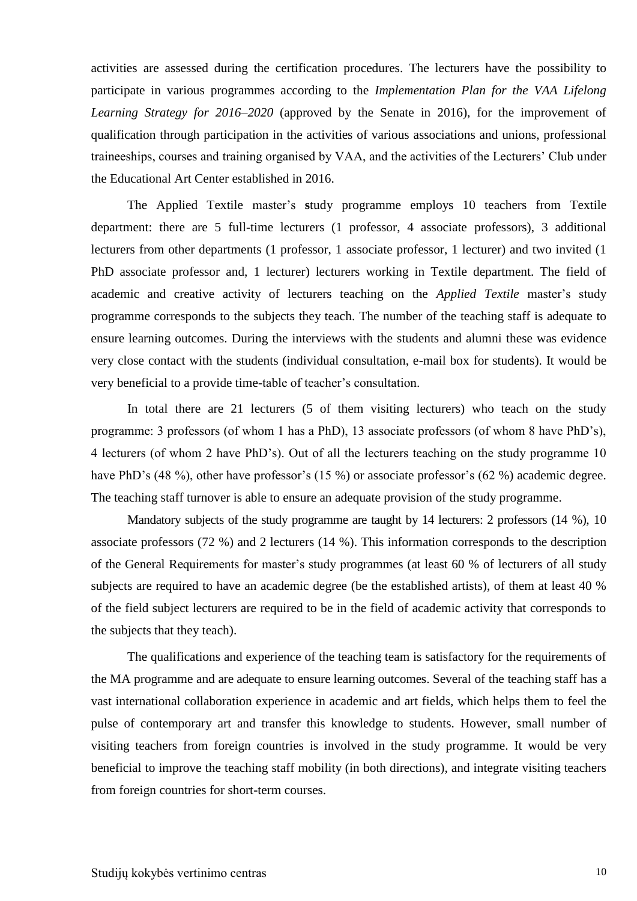activities are assessed during the certification procedures. The lecturers have the possibility to participate in various programmes according to the *Implementation Plan for the VAA Lifelong Learning Strategy for 2016–2020* (approved by the Senate in 2016), for the improvement of qualification through participation in the activities of various associations and unions, professional traineeships, courses and training organised by VAA, and the activities of the Lecturers' Club under the Educational Art Center established in 2016.

The Applied Textile master's **s**tudy programme employs 10 teachers from Textile department: there are 5 full-time lecturers (1 professor, 4 associate professors), 3 additional lecturers from other departments (1 professor, 1 associate professor, 1 lecturer) and two invited (1 PhD associate professor and, 1 lecturer) lecturers working in Textile department. The field of academic and creative activity of lecturers teaching on the *Applied Textile* master's study programme corresponds to the subjects they teach. The number of the teaching staff is adequate to ensure learning outcomes. During the interviews with the students and alumni these was evidence very close contact with the students (individual consultation, e-mail box for students). It would be very beneficial to a provide time-table of teacher's consultation.

In total there are 21 lecturers (5 of them visiting lecturers) who teach on the study programme: 3 professors (of whom 1 has a PhD), 13 associate professors (of whom 8 have PhD's), 4 lecturers (of whom 2 have PhD's). Out of all the lecturers teaching on the study programme 10 have PhD's (48 %), other have professor's (15 %) or associate professor's (62 %) academic degree. The teaching staff turnover is able to ensure an adequate provision of the study programme.

Mandatory subjects of the study programme are taught by 14 lecturers: 2 professors (14 %), 10 associate professors (72 %) and 2 lecturers (14 %). This information corresponds to the description of the General Requirements for master's study programmes (at least 60 % of lecturers of all study subjects are required to have an academic degree (be the established artists), of them at least 40 % of the field subject lecturers are required to be in the field of academic activity that corresponds to the subjects that they teach).

The qualifications and experience of the teaching team is satisfactory for the requirements of the MA programme and are adequate to ensure learning outcomes. Several of the teaching staff has a vast international collaboration experience in academic and art fields, which helps them to feel the pulse of contemporary art and transfer this knowledge to students. However, small number of visiting teachers from foreign countries is involved in the study programme. It would be very beneficial to improve the teaching staff mobility (in both directions), and integrate visiting teachers from foreign countries for short-term courses.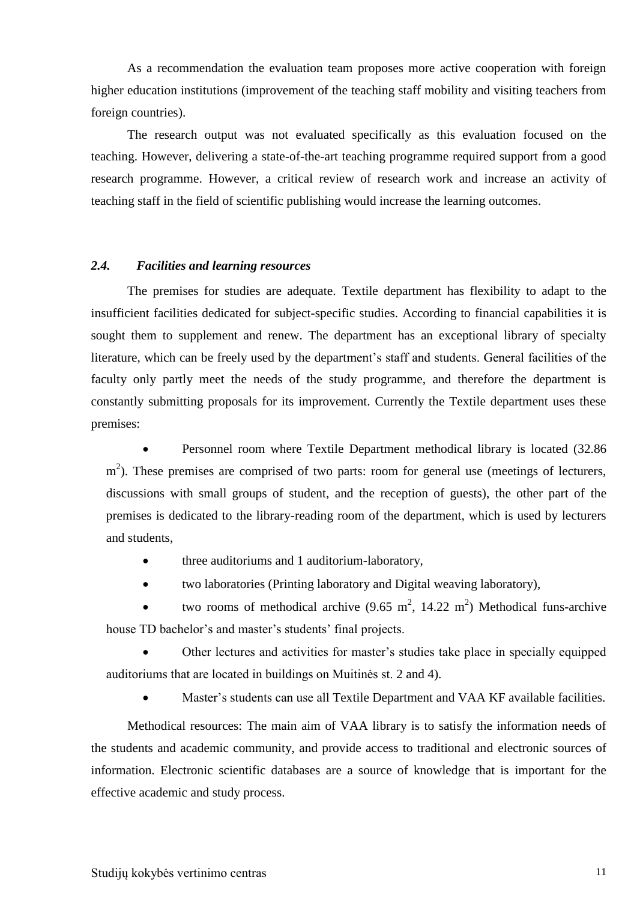As a recommendation the evaluation team proposes more active cooperation with foreign higher education institutions (improvement of the teaching staff mobility and visiting teachers from foreign countries).

The research output was not evaluated specifically as this evaluation focused on the teaching. However, delivering a state-of-the-art teaching programme required support from a good research programme. However, a critical review of research work and increase an activity of teaching staff in the field of scientific publishing would increase the learning outcomes.

#### <span id="page-10-0"></span>*2.4. Facilities and learning resources*

The premises for studies are adequate. Textile department has flexibility to adapt to the insufficient facilities dedicated for subject-specific studies. According to financial capabilities it is sought them to supplement and renew. The department has an exceptional library of specialty literature, which can be freely used by the department's staff and students. General facilities of the faculty only partly meet the needs of the study programme, and therefore the department is constantly submitting proposals for its improvement. Currently the Textile department uses these premises:

 Personnel room where Textile Department methodical library is located (32.86 m<sup>2</sup>). These premises are comprised of two parts: room for general use (meetings of lecturers, discussions with small groups of student, and the reception of guests), the other part of the premises is dedicated to the library-reading room of the department, which is used by lecturers and students,

- three auditoriums and 1 auditorium-laboratory,
- two laboratories (Printing laboratory and Digital weaving laboratory),

• two rooms of methodical archive  $(9.65 \text{ m}^2, 14.22 \text{ m}^2)$  Methodical funs-archive house TD bachelor's and master's students' final projects.

 Other lectures and activities for master's studies take place in specially equipped auditoriums that are located in buildings on Muitinės st. 2 and 4).

Master's students can use all Textile Department and VAA KF available facilities.

Methodical resources: The main aim of VAA library is to satisfy the information needs of the students and academic community, and provide access to traditional and electronic sources of information. Electronic scientific databases are a source of knowledge that is important for the effective academic and study process.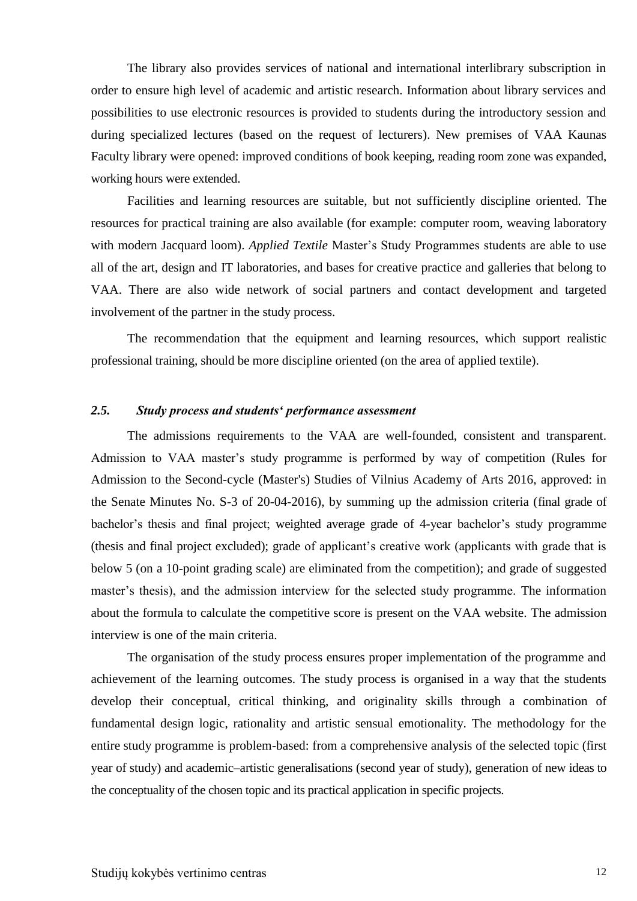The library also provides services of national and international interlibrary subscription in order to ensure high level of academic and artistic research. Information about library services and possibilities to use electronic resources is provided to students during the introductory session and during specialized lectures (based on the request of lecturers). New premises of VAA Kaunas Faculty library were opened: improved conditions of book keeping, reading room zone was expanded, working hours were extended.

Facilities and learning resources are suitable, but not sufficiently discipline oriented. The resources for practical training are also available (for example: computer room, weaving laboratory with modern Jacquard loom). *Applied Textile* Master's Study Programmes students are able to use all of the art, design and IT laboratories, and bases for creative practice and galleries that belong to VAA. There are also wide network of social partners and contact development and targeted involvement of the partner in the study process.

The recommendation that the equipment and learning resources, which support realistic professional training, should be more discipline oriented (on the area of applied textile).

#### <span id="page-11-0"></span>*2.5. Study process and students' performance assessment*

The admissions requirements to the VAA are well-founded, consistent and transparent. Admission to VAA master's study programme is performed by way of competition (Rules for Admission to the Second-cycle (Master's) Studies of Vilnius Academy of Arts 2016, approved: in the Senate Minutes No. S-3 of 20-04-2016), by summing up the admission criteria (final grade of bachelor's thesis and final project; weighted average grade of 4-year bachelor's study programme (thesis and final project excluded); grade of applicant's creative work (applicants with grade that is below 5 (on a 10-point grading scale) are eliminated from the competition); and grade of suggested master's thesis), and the admission interview for the selected study programme. The information about the formula to calculate the competitive score is present on the VAA website. The admission interview is one of the main criteria.

The organisation of the study process ensures proper implementation of the programme and achievement of the learning outcomes. The study process is organised in a way that the students develop their conceptual, critical thinking, and originality skills through a combination of fundamental design logic, rationality and artistic sensual emotionality. The methodology for the entire study programme is problem-based: from a comprehensive analysis of the selected topic (first year of study) and academic–artistic generalisations (second year of study), generation of new ideas to the conceptuality of the chosen topic and its practical application in specific projects.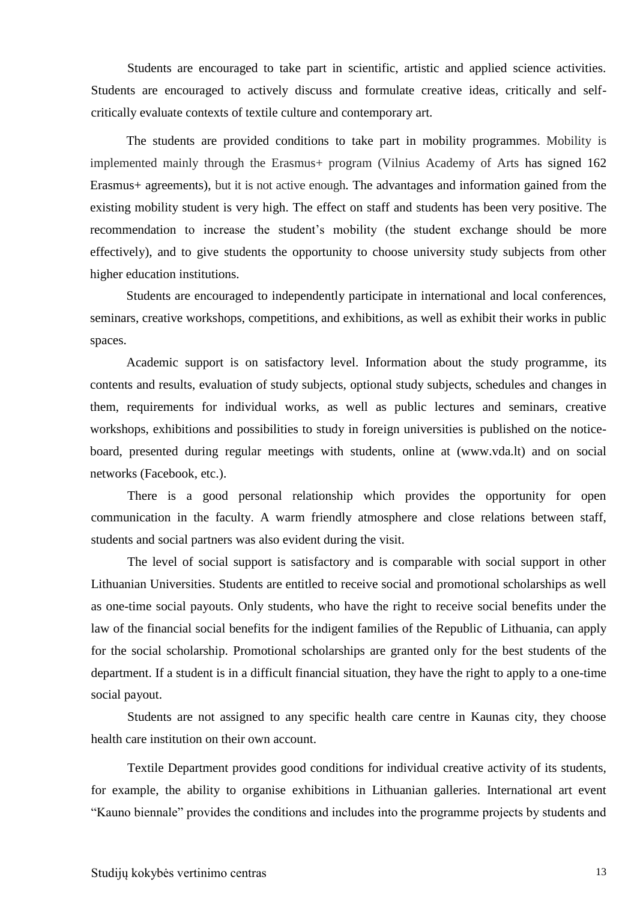Students are encouraged to take part in scientific, artistic and applied science activities. Students are encouraged to actively discuss and formulate creative ideas, critically and selfcritically evaluate contexts of textile culture and contemporary art.

The students are provided conditions to take part in mobility programmes. Mobility is implemented mainly through the Erasmus+ program (Vilnius Academy of Arts has signed 162 Erasmus+ agreements), but it is not active enough. The advantages and information gained from the existing mobility student is very high. The effect on staff and students has been very positive. The recommendation to increase the student's mobility (the student exchange should be more effectively), and to give students the opportunity to choose university study subjects from other higher education institutions.

Students are encouraged to independently participate in international and local conferences, seminars, creative workshops, competitions, and exhibitions, as well as exhibit their works in public spaces.

Academic support is on satisfactory level. Information about the study programme, its contents and results, evaluation of study subjects, optional study subjects, schedules and changes in them, requirements for individual works, as well as public lectures and seminars, creative workshops, exhibitions and possibilities to study in foreign universities is published on the noticeboard, presented during regular meetings with students, online at (www.vda.lt) and on social networks (Facebook, etc.).

There is a good personal relationship which provides the opportunity for open communication in the faculty. A warm friendly atmosphere and close relations between staff, students and social partners was also evident during the visit.

The level of social support is satisfactory and is comparable with social support in other Lithuanian Universities. Students are entitled to receive social and promotional scholarships as well as one-time social payouts. Only students, who have the right to receive social benefits under the law of the financial social benefits for the indigent families of the Republic of Lithuania, can apply for the social scholarship. Promotional scholarships are granted only for the best students of the department. If a student is in a difficult financial situation, they have the right to apply to a one-time social payout.

Students are not assigned to any specific health care centre in Kaunas city, they choose health care institution on their own account.

Textile Department provides good conditions for individual creative activity of its students, for example, the ability to organise exhibitions in Lithuanian galleries. International art event "Kauno biennale" provides the conditions and includes into the programme projects by students and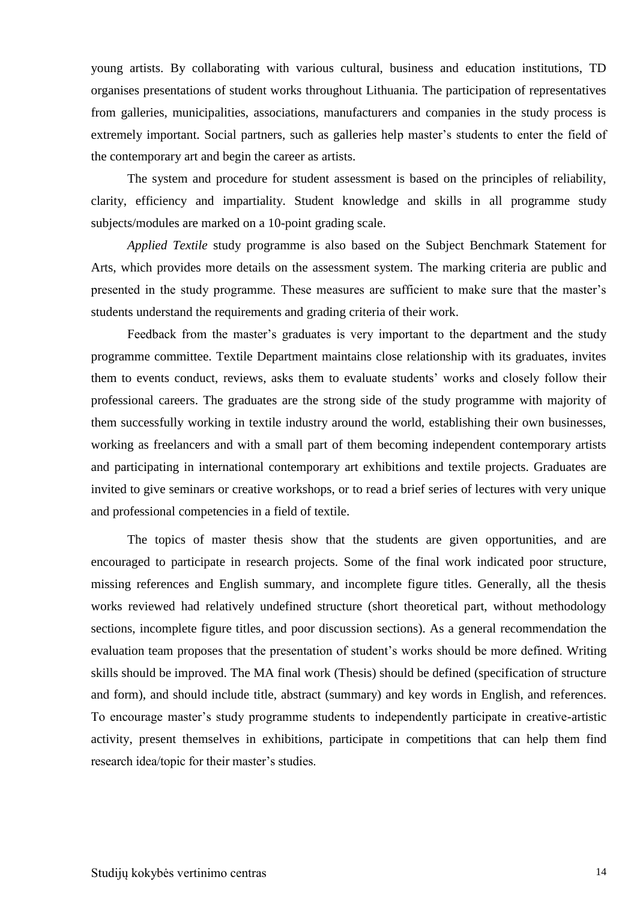young artists. By collaborating with various cultural, business and education institutions, TD organises presentations of student works throughout Lithuania. The participation of representatives from galleries, municipalities, associations, manufacturers and companies in the study process is extremely important. Social partners, such as galleries help master's students to enter the field of the contemporary art and begin the career as artists.

The system and procedure for student assessment is based on the principles of reliability, clarity, efficiency and impartiality. Student knowledge and skills in all programme study subjects/modules are marked on a 10-point grading scale.

*Applied Textile* study programme is also based on the Subject Benchmark Statement for Arts, which provides more details on the assessment system. The marking criteria are public and presented in the study programme. These measures are sufficient to make sure that the master's students understand the requirements and grading criteria of their work.

Feedback from the master's graduates is very important to the department and the study programme committee. Textile Department maintains close relationship with its graduates, invites them to events conduct, reviews, asks them to evaluate students' works and closely follow their professional careers. The graduates are the strong side of the study programme with majority of them successfully working in textile industry around the world, establishing their own businesses, working as freelancers and with a small part of them becoming independent contemporary artists and participating in international contemporary art exhibitions and textile projects. Graduates are invited to give seminars or creative workshops, or to read a brief series of lectures with very unique and professional competencies in a field of textile.

The topics of master thesis show that the students are given opportunities, and are encouraged to participate in research projects. Some of the final work indicated poor structure, missing references and English summary, and incomplete figure titles. Generally, all the thesis works reviewed had relatively undefined structure (short theoretical part, without methodology sections, incomplete figure titles, and poor discussion sections). As a general recommendation the evaluation team proposes that the presentation of student's works should be more defined. Writing skills should be improved. The MA final work (Thesis) should be defined (specification of structure and form), and should include title, abstract (summary) and key words in English, and references. To encourage master's study programme students to independently participate in creative-artistic activity, present themselves in exhibitions, participate in competitions that can help them find research idea/topic for their master's studies.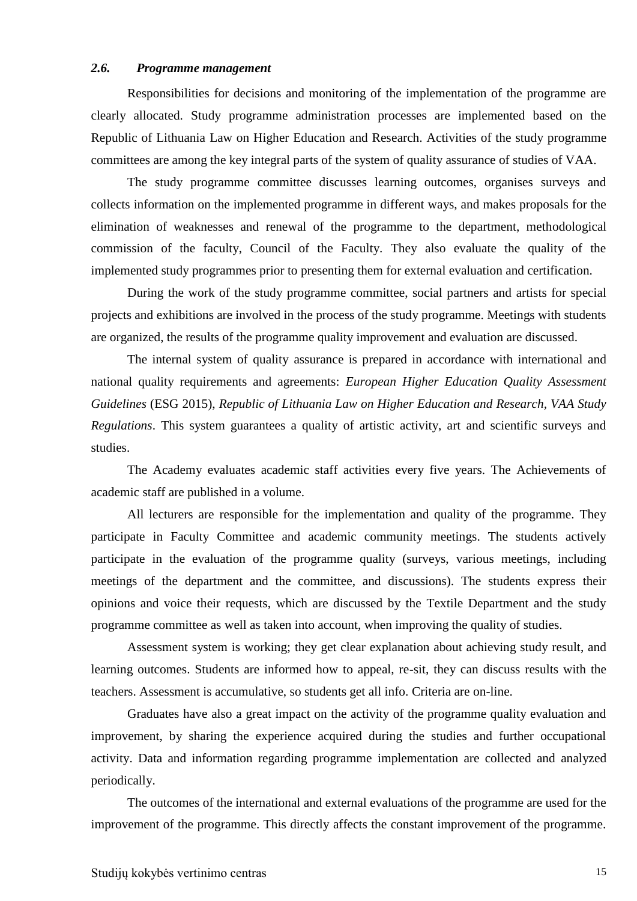#### <span id="page-14-0"></span>*2.6. Programme management*

Responsibilities for decisions and monitoring of the implementation of the programme are clearly allocated. Study programme administration processes are implemented based on the Republic of Lithuania Law on Higher Education and Research. Activities of the study programme committees are among the key integral parts of the system of quality assurance of studies of VAA.

The study programme committee discusses learning outcomes, organises surveys and collects information on the implemented programme in different ways, and makes proposals for the elimination of weaknesses and renewal of the programme to the department, methodological commission of the faculty, Council of the Faculty. They also evaluate the quality of the implemented study programmes prior to presenting them for external evaluation and certification.

During the work of the study programme committee, social partners and artists for special projects and exhibitions are involved in the process of the study programme. Meetings with students are organized, the results of the programme quality improvement and evaluation are discussed.

The internal system of quality assurance is prepared in accordance with international and national quality requirements and agreements: *European Higher Education Quality Assessment Guidelines* (ESG 2015), *Republic of Lithuania Law on Higher Education and Research, VAA Study Regulations*. This system guarantees a quality of artistic activity, art and scientific surveys and studies.

The Academy evaluates academic staff activities every five years. The Achievements of academic staff are published in a volume.

All lecturers are responsible for the implementation and quality of the programme. They participate in Faculty Committee and academic community meetings. The students actively participate in the evaluation of the programme quality (surveys, various meetings, including meetings of the department and the committee, and discussions). The students express their opinions and voice their requests, which are discussed by the Textile Department and the study programme committee as well as taken into account, when improving the quality of studies.

Assessment system is working; they get clear explanation about achieving study result, and learning outcomes. Students are informed how to appeal, re-sit, they can discuss results with the teachers. Assessment is accumulative, so students get all info. Criteria are on-line.

Graduates have also a great impact on the activity of the programme quality evaluation and improvement, by sharing the experience acquired during the studies and further occupational activity. Data and information regarding programme implementation are collected and analyzed periodically.

The outcomes of the international and external evaluations of the programme are used for the improvement of the programme. This directly affects the constant improvement of the programme.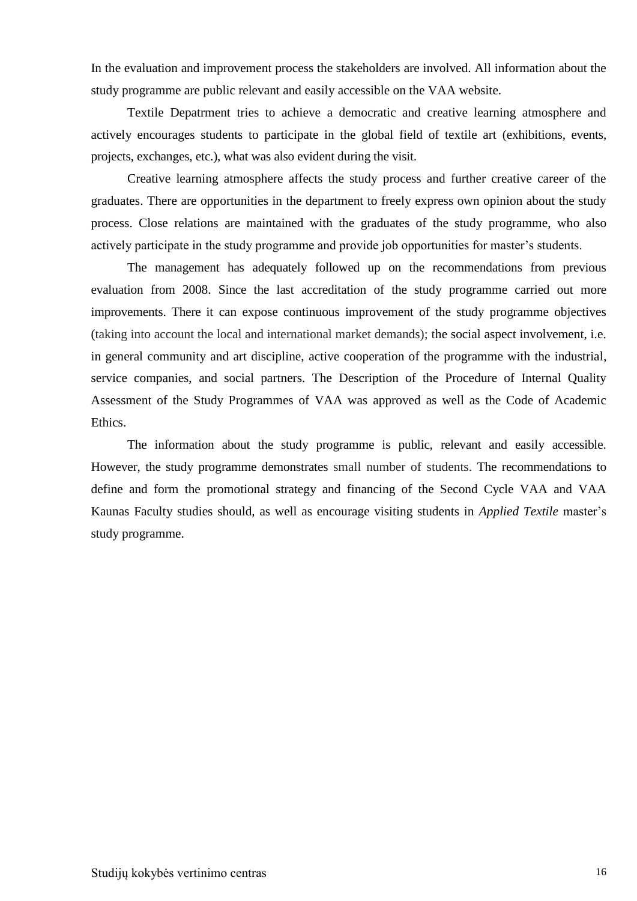In the evaluation and improvement process the stakeholders are involved. All information about the study programme are public relevant and easily accessible on the VAA website.

Textile Depatrment tries to achieve a democratic and creative learning atmosphere and actively encourages students to participate in the global field of textile art (exhibitions, events, projects, exchanges, etc.), what was also evident during the visit.

Creative learning atmosphere affects the study process and further creative career of the graduates. There are opportunities in the department to freely express own opinion about the study process. Close relations are maintained with the graduates of the study programme, who also actively participate in the study programme and provide job opportunities for master's students.

The management has adequately followed up on the recommendations from previous evaluation from 2008. Since the last accreditation of the study programme carried out more improvements. There it can expose continuous improvement of the study programme objectives (taking into account the local and international market demands); the social aspect involvement, i.e. in general community and art discipline, active cooperation of the programme with the industrial, service companies, and social partners. The Description of the Procedure of Internal Quality Assessment of the Study Programmes of VAA was approved as well as the Code of Academic Ethics.

The information about the study programme is public, relevant and easily accessible. However, the study programme demonstrates small number of students. The recommendations to define and form the promotional strategy and financing of the Second Cycle VAA and VAA Kaunas Faculty studies should, as well as encourage visiting students in *Applied Textile* master's study programme.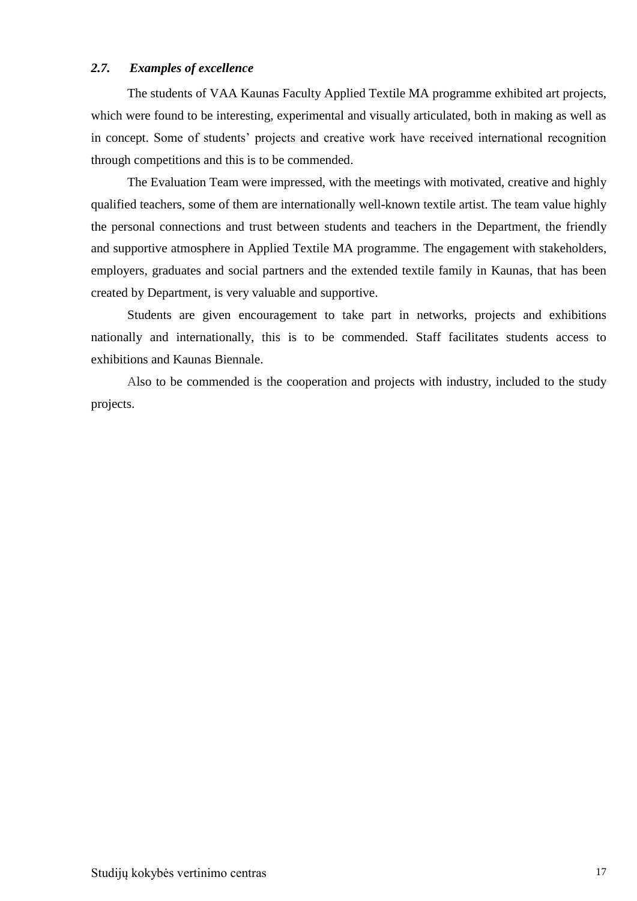#### <span id="page-16-0"></span>*2.7. Examples of excellence*

The students of VAA Kaunas Faculty Applied Textile MA programme exhibited art projects, which were found to be interesting, experimental and visually articulated, both in making as well as in concept. Some of students' projects and creative work have received international recognition through competitions and this is to be commended.

The Evaluation Team were impressed, with the meetings with motivated, creative and highly qualified teachers, some of them are internationally well-known textile artist. The team value highly the personal connections and trust between students and teachers in the Department, the friendly and supportive atmosphere in Applied Textile MA programme. The engagement with stakeholders, employers, graduates and social partners and the extended textile family in Kaunas, that has been created by Department, is very valuable and supportive.

Students are given encouragement to take part in networks, projects and exhibitions nationally and internationally, this is to be commended. Staff facilitates students access to exhibitions and Kaunas Biennale.

Also to be commended is the cooperation and projects with industry, included to the study projects.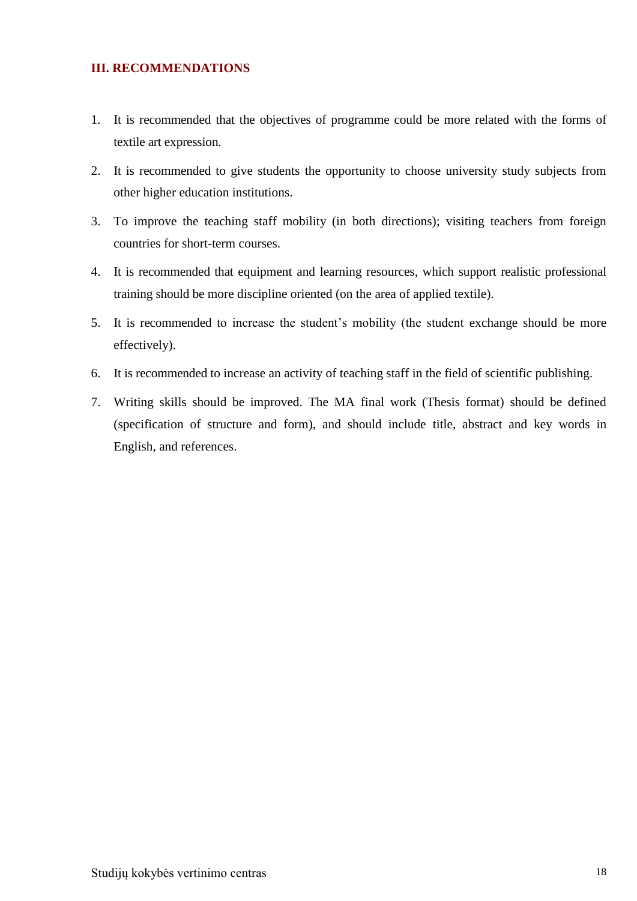#### <span id="page-17-0"></span>**III. RECOMMENDATIONS**

- 1. It is recommended that the objectives of programme could be more related with the forms of textile art expression.
- 2. It is recommended to give students the opportunity to choose university study subjects from other higher education institutions.
- 3. To improve the teaching staff mobility (in both directions); visiting teachers from foreign countries for short-term courses.
- 4. It is recommended that equipment and learning resources, which support realistic professional training should be more discipline oriented (on the area of applied textile).
- 5. It is recommended to increase the student's mobility (the student exchange should be more effectively).
- 6. It is recommended to increase an activity of teaching staff in the field of scientific publishing.
- 7. Writing skills should be improved. The MA final work (Thesis format) should be defined (specification of structure and form), and should include title, abstract and key words in English, and references.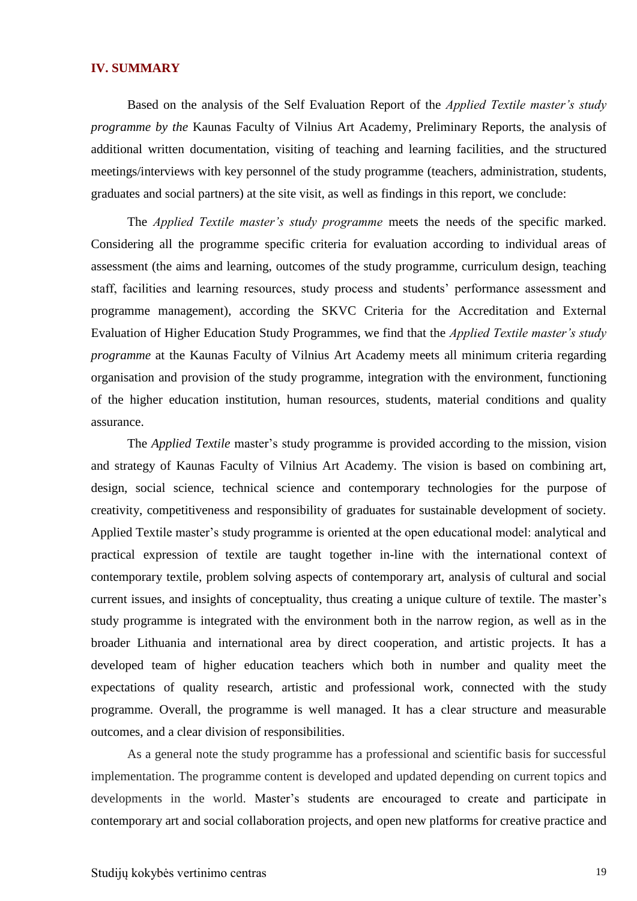#### <span id="page-18-0"></span>**IV. SUMMARY**

Based on the analysis of the Self Evaluation Report of the *Applied Textile master's study programme by the* Kaunas Faculty of Vilnius Art Academy*,* Preliminary Reports, the analysis of additional written documentation, visiting of teaching and learning facilities, and the structured meetings/interviews with key personnel of the study programme (teachers, administration, students, graduates and social partners) at the site visit, as well as findings in this report, we conclude:

The *Applied Textile master's study programme* meets the needs of the specific marked. Considering all the programme specific criteria for evaluation according to individual areas of assessment (the aims and learning, outcomes of the study programme, curriculum design, teaching staff, facilities and learning resources, study process and students' performance assessment and programme management), according the SKVC Criteria for the Accreditation and External Evaluation of Higher Education Study Programmes, we find that the *Applied Textile master's study programme* at the Kaunas Faculty of Vilnius Art Academy meets all minimum criteria regarding organisation and provision of the study programme, integration with the environment, functioning of the higher education institution, human resources, students, material conditions and quality assurance.

The *Applied Textile* master's study programme is provided according to the mission, vision and strategy of Kaunas Faculty of Vilnius Art Academy. The vision is based on combining art, design, social science, technical science and contemporary technologies for the purpose of creativity, competitiveness and responsibility of graduates for sustainable development of society. Applied Textile master's study programme is oriented at the open educational model: analytical and practical expression of textile are taught together in-line with the international context of contemporary textile, problem solving aspects of contemporary art, analysis of cultural and social current issues, and insights of conceptuality, thus creating a unique culture of textile. The master's study programme is integrated with the environment both in the narrow region, as well as in the broader Lithuania and international area by direct cooperation, and artistic projects. It has a developed team of higher education teachers which both in number and quality meet the expectations of quality research, artistic and professional work, connected with the study programme. Overall, the programme is well managed. It has a clear structure and measurable outcomes, and a clear division of responsibilities.

As a general note the study programme has a professional and scientific basis for successful implementation. The programme content is developed and updated depending on current topics and developments in the world. Master's students are encouraged to create and participate in contemporary art and social collaboration projects, and open new platforms for creative practice and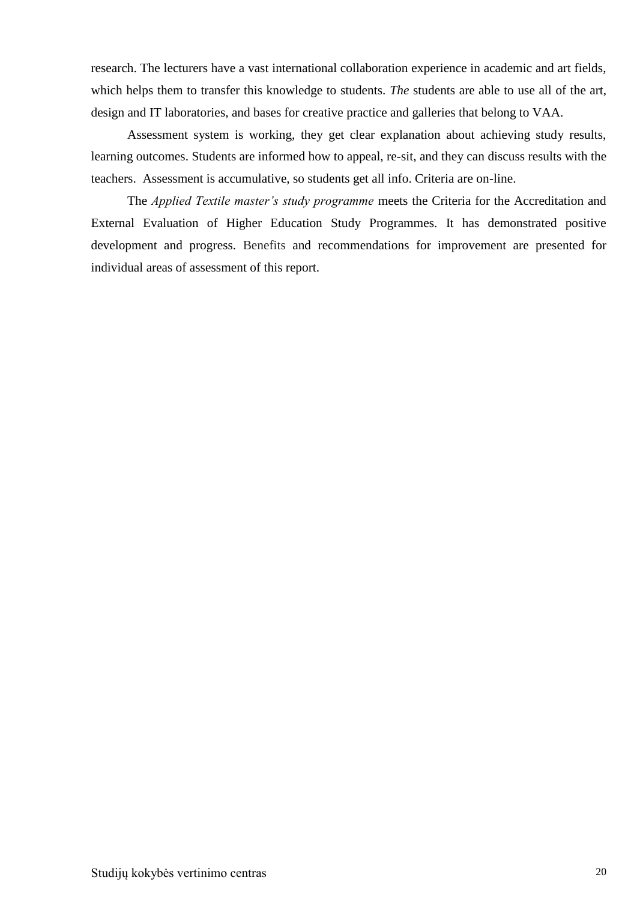research. The lecturers have a vast international collaboration experience in academic and art fields, which helps them to transfer this knowledge to students. *The* students are able to use all of the art, design and IT laboratories, and bases for creative practice and galleries that belong to VAA.

Assessment system is working, they get clear explanation about achieving study results, learning outcomes. Students are informed how to appeal, re-sit, and they can discuss results with the teachers. Assessment is accumulative, so students get all info. Criteria are on-line.

The *Applied Textile master's study programme* meets the Criteria for the Accreditation and External Evaluation of Higher Education Study Programmes. It has demonstrated positive development and progress. Benefits and recommendations for improvement are presented for individual areas of assessment of this report.